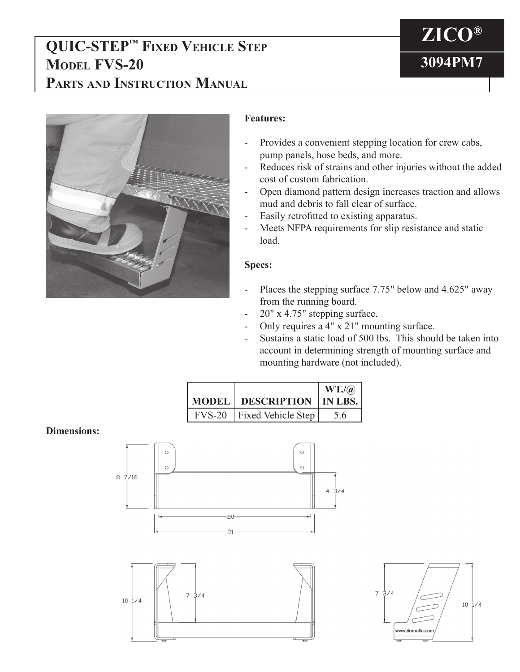## **QUIC-STEP™ Fixed Vehicle Step Model FVS-20 Parts and Instruction Manual**

# **ZICO® 3094PM7**



### **Features:**

- Provides a convenient stepping location for crew cabs, pump panels, hose beds, and more.
- Reduces risk of strains and other injuries without the added cost of custom fabrication.
- Open diamond pattern design increases traction and allows mud and debris to fall clear of surface.
- Easily retrofitted to existing apparatus.
- Meets NFPA requirements for slip resistance and static load.

#### **Specs:**

- Places the stepping surface 7.75" below and 4.625" away from the running board.
- 20" x 4.75" stepping surface.
- Only requires a 4" x 21" mounting surface.
- Sustains a static load of 500 lbs. This should be taken into account in determining strength of mounting surface and mounting hardware (not included).

|  |                             | $WT.$ / $@$     |
|--|-----------------------------|-----------------|
|  | <b>MODEL   DESCRIPTION</b>  | $\vert$ IN LBS. |
|  | FVS-20   Fixed Vehicle Step | 56              |

#### **Dimensions:**